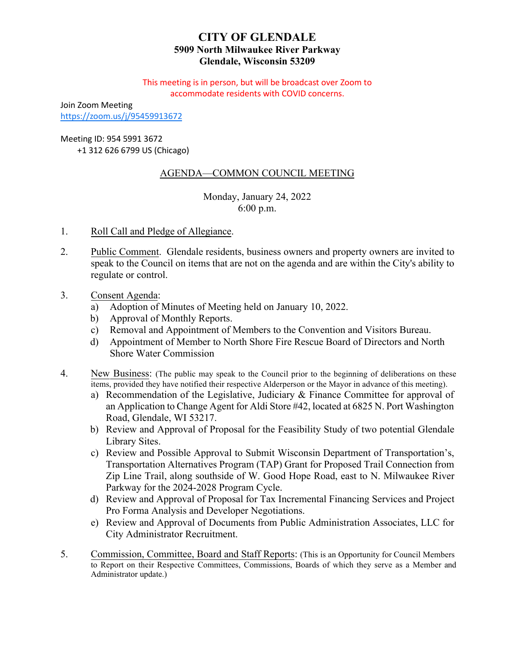# **CITY OF GLENDALE 5909 North Milwaukee River Parkway Glendale, Wisconsin 53209**

This meeting is in person, but will be broadcast over Zoom to accommodate residents with COVID concerns.

Join Zoom Meeting <https://zoom.us/j/95459913672>

Meeting ID: 954 5991 3672

+1 312 626 6799 US (Chicago)

# AGENDA—COMMON COUNCIL MEETING

Monday, January 24, 2022 6:00 p.m.

- 1. Roll Call and Pledge of Allegiance.
- 2. Public Comment. Glendale residents, business owners and property owners are invited to speak to the Council on items that are not on the agenda and are within the City's ability to regulate or control.
- 3. Consent Agenda:
	- a) Adoption of Minutes of Meeting held on January 10, 2022.
	- b) Approval of Monthly Reports.
	- c) [Removal and Appointment of Members to the Convention and Visitors Bureau.](#page-2-0)
	- d) Appointment of Member to North Shore Fire Rescue Board of Directors and North Shore Water Commission
- 4. New Business: (The public may speak to the Council prior to the beginning of deliberations on these items, provided they have notified their respective Alderperson or the Mayor in advance of this meeting).
	- a) [Recommendation of the Legislative, Judiciary & Finance Committee for approval of](#page-3-0) an Application to Change Agent for Aldi Store #42, located at 6825 N. Port Washington Road, Glendale, WI 53217.
	- b) [Review and Approval of Proposal for the Feasibility Study](#page-4-0) of two potential Glendale Library Sites.
	- c) Review and Possible Approval to Submit Wisconsin Department of Transportation's, Transportation Alternatives Program (TAP) Grant for Proposed Trail Connection from [Zip Line Trail, along southside of W. Good Hope Road, east to N. Milwaukee River](#page-5-0) Parkway for the 2024-2028 Program Cycle.
	- d) [Review and Approval of Proposal for Tax Incremental Financing Services and Project](#page-7-0) Pro Forma Analysis and Developer Negotiations.
	- e) [Review and Approval of Documents from Public](#page-8-0) Administration Associates, LLC for City Administrator Recruitment.
- 5. Commission, Committee, Board and Staff Reports: (This is an Opportunity for Council Members to Report on their Respective Committees, Commissions, Boards of which they serve as a Member and Administrator update.)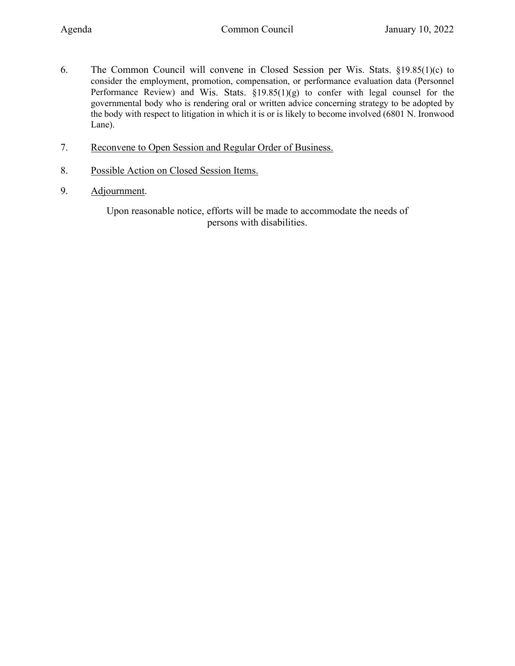- 6. The Common Council will convene in Closed Session per Wis. Stats. §19.85(1)(c) to consider the employment, promotion, compensation, or performance evaluation data (Personnel Performance Review) and Wis. Stats.  $\S19.85(1)(g)$  to confer with legal counsel for the governmental body who is rendering oral or written advice concerning strategy to be adopted by the body with respect to litigation in which it is or is likely to become involved (6801 N. Ironwood Lane).
- 7. Reconvene to Open Session and Regular Order of Business.
- 8. Possible Action on Closed Session Items.
- 9. Adjournment.

Upon reasonable notice, efforts will be made to accommodate the needs of persons with disabilities.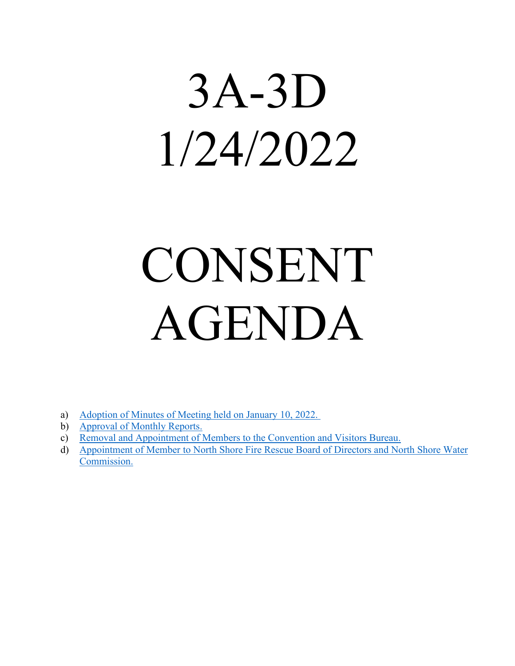# <span id="page-2-0"></span>3A-3D 1/24/2022

# CONSENT AGENDA

- a) [Adoption of Minutes of Meeting held on January 10, 2022.](https://www.glendale-wi.org/DocumentCenter/View/2372/Council-Minutes-1-10-2022)
- b) [Approval of Monthly Reports.](https://www.glendale-wi.org/DocumentCenter/View/2373/December-2021-for-Common-Council)
- c) [Removal and Appointment of Members to the Convention and Visitors Bureau.](https://www.glendale-wi.org/DocumentCenter/View/2374/Memo---Committee-Appointments)
- d) [Appointment of Member to North Shore Fire Rescue Board of Directors and North Shore Water](https://www.glendale-wi.org/DocumentCenter/View/2375/Memo---Appointments-to-NSFD-and-NSWC) [Commission.](https://www.glendale-wi.org/DocumentCenter/View/2375/Memo---Appointments-to-NSFD-and-NSWC)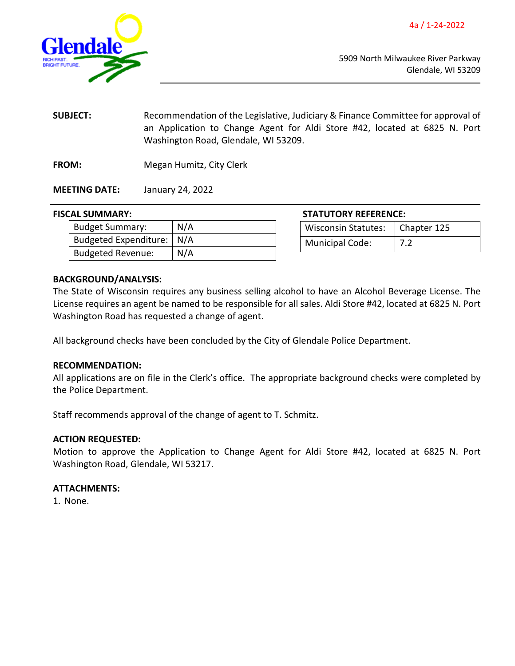4a / 1-24-2022

<span id="page-3-0"></span>

5909 North Milwaukee River Parkway Glendale, WI 53209

**SUBJECT:** Recommendation of the Legislative, Judiciary & Finance Committee for approval of an Application to Change Agent for Aldi Store #42, located at 6825 N. Port Washington Road, Glendale, WI 53209.

**FROM:** Megan Humitz, City Clerk

**MEETING DATE:** January 24, 2022

### **FISCAL SUMMARY:**

| <b>Budget Summary:</b>      | N/A |
|-----------------------------|-----|
| Budgeted Expenditure:   N/A |     |
| <b>Budgeted Revenue:</b>    | N/A |

| <b>STATUTORY REFERENCE:</b>       |  |
|-----------------------------------|--|
| Wisconsin Statutes:   Chapter 125 |  |

Municipal Code: | 7.2

### **BACKGROUND/ANALYSIS:**

The State of Wisconsin requires any business selling alcohol to have an Alcohol Beverage License. The License requires an agent be named to be responsible for all sales. Aldi Store #42, located at 6825 N. Port Washington Road has requested a change of agent.

All background checks have been concluded by the City of Glendale Police Department.

### **RECOMMENDATION:**

All applications are on file in the Clerk's office. The appropriate background checks were completed by the Police Department.

Staff recommends approval of the change of agent to T. Schmitz.

### **ACTION REQUESTED:**

Motion to approve the Application to Change Agent for Aldi Store #42, located at 6825 N. Port Washington Road, Glendale, WI 53217.

### **ATTACHMENTS:**

1. None.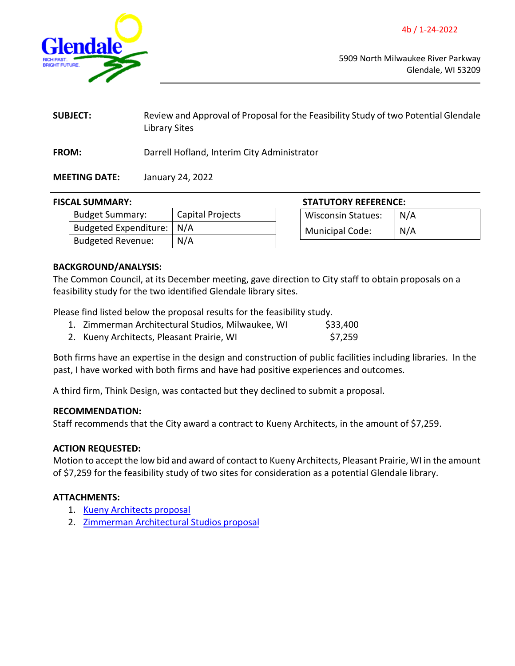<span id="page-4-0"></span>

5909 North Milwaukee River Parkway Glendale, WI 53209

| <b>SUBJECT:</b> | Review and Approval of Proposal for the Feasibility Study of two Potential Glendale<br>Library Sites |
|-----------------|------------------------------------------------------------------------------------------------------|
| <b>FROM:</b>    | Darrell Hofland, Interim City Administrator                                                          |

# **MEETING DATE:** January 24, 2022

### **FISCAL SUMMARY: STATUTORY REFERENCE:**

| <b>Budget Summary:</b>      | Capital Projects |
|-----------------------------|------------------|
| Budgeted Expenditure:   N/A |                  |
| <b>Budgeted Revenue:</b>    | N/A              |

| SIAIUIUKY KEFEKENCE:      |     |
|---------------------------|-----|
| <b>Wisconsin Statues:</b> | N/A |
| <b>Municipal Code:</b>    | N/A |

### **BACKGROUND/ANALYSIS:**

The Common Council, at its December meeting, gave direction to City staff to obtain proposals on a feasibility study for the two identified Glendale library sites.

Please find listed below the proposal results for the feasibility study.

- 1. Zimmerman Architectural Studios, Milwaukee, WI \$33,400
- 2. Kueny Architects, Pleasant Prairie, WI 67,259

Both firms have an expertise in the design and construction of public facilities including libraries. In the past, I have worked with both firms and have had positive experiences and outcomes.

A third firm, Think Design, was contacted but they declined to submit a proposal.

### **RECOMMENDATION:**

Staff recommends that the City award a contract to Kueny Architects, in the amount of \$7,259.

### **ACTION REQUESTED:**

Motion to accept the low bid and award of contact to Kueny Architects, Pleasant Prairie, WI in the amount of \$7,259 for the feasibility study of two sites for consideration as a potential Glendale library.

# **ATTACHMENTS:**

- 1. [Kueny Architects proposal](https://www.glendale-wi.org/DocumentCenter/View/2376/Kueny-Architects---Library-Feasibility-Study)
- 2. [Zimmerman Architectural Studios proposal](https://www.glendale-wi.org/DocumentCenter/View/2377/Zimmerman---Library-Feasibility-Study)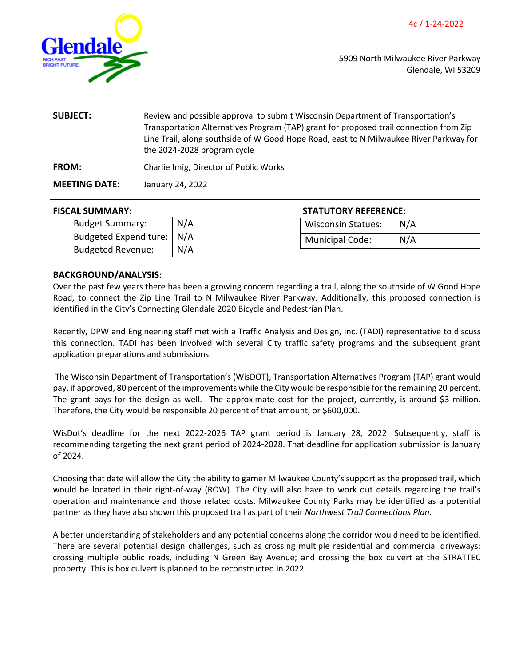<span id="page-5-0"></span>

| <b>SUBJECT:</b>      | Review and possible approval to submit Wisconsin Department of Transportation's<br>Transportation Alternatives Program (TAP) grant for proposed trail connection from Zip<br>Line Trail, along southside of W Good Hope Road, east to N Milwaukee River Parkway for<br>the 2024-2028 program cycle |
|----------------------|----------------------------------------------------------------------------------------------------------------------------------------------------------------------------------------------------------------------------------------------------------------------------------------------------|
| <b>FROM:</b>         | Charlie Imig, Director of Public Works                                                                                                                                                                                                                                                             |
| <b>MEETING DATE:</b> | January 24, 2022                                                                                                                                                                                                                                                                                   |

| <b>Budget Summary:</b>      | N/A |
|-----------------------------|-----|
| Budgeted Expenditure:   N/A |     |
| <b>Budgeted Revenue:</b>    | N/A |

**FISCAL SUMMARY: STATUTORY REFERENCE:**

| <b>Wisconsin Statues:</b> | N/A |
|---------------------------|-----|
| Municipal Code:           | N/A |

### **BACKGROUND/ANALYSIS:**

Over the past few years there has been a growing concern regarding a trail, along the southside of W Good Hope Road, to connect the Zip Line Trail to N Milwaukee River Parkway. Additionally, this proposed connection is identified in the City's Connecting Glendale 2020 Bicycle and Pedestrian Plan.

Recently, DPW and Engineering staff met with a Traffic Analysis and Design, Inc. (TADI) representative to discuss this connection. TADI has been involved with several City traffic safety programs and the subsequent grant application preparations and submissions.

The Wisconsin Department of Transportation's (WisDOT), Transportation Alternatives Program (TAP) grant would pay, if approved, 80 percent of the improvements while the City would be responsible for the remaining 20 percent. The grant pays for the design as well. The approximate cost for the project, currently, is around \$3 million. Therefore, the City would be responsible 20 percent of that amount, or \$600,000.

WisDot's deadline for the next 2022-2026 TAP grant period is January 28, 2022. Subsequently, staff is recommending targeting the next grant period of 2024-2028. That deadline for application submission is January of 2024.

Choosing that date will allow the City the ability to garner Milwaukee County's support as the proposed trail, which would be located in their right-of-way (ROW). The City will also have to work out details regarding the trail's operation and maintenance and those related costs. Milwaukee County Parks may be identified as a potential partner as they have also shown this proposed trail as part of their *Northwest Trail Connections Plan*.

A better understanding of stakeholders and any potential concerns along the corridor would need to be identified. There are several potential design challenges, such as crossing multiple residential and commercial driveways; crossing multiple public roads, including N Green Bay Avenue; and crossing the box culvert at the STRATTEC property. This is box culvert is planned to be reconstructed in 2022.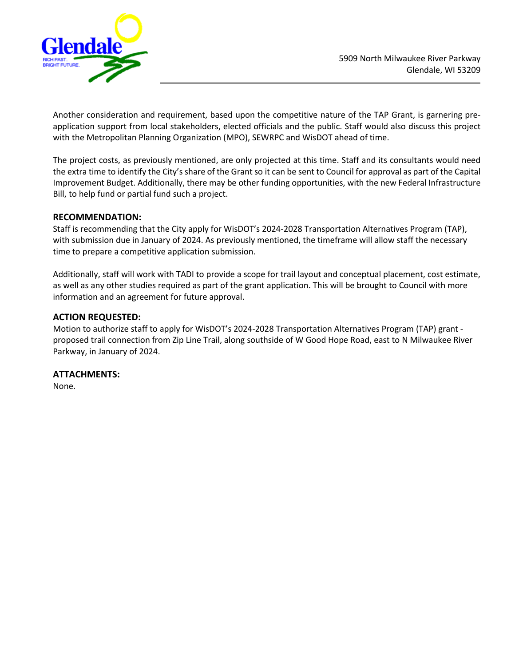

Another consideration and requirement, based upon the competitive nature of the TAP Grant, is garnering preapplication support from local stakeholders, elected officials and the public. Staff would also discuss this project with the Metropolitan Planning Organization (MPO), SEWRPC and WisDOT ahead of time.

The project costs, as previously mentioned, are only projected at this time. Staff and its consultants would need the extra time to identify the City's share of the Grant so it can be sent to Council for approval as part of the Capital Improvement Budget. Additionally, there may be other funding opportunities, with the new Federal Infrastructure Bill, to help fund or partial fund such a project.

### **RECOMMENDATION:**

Staff is recommending that the City apply for WisDOT's 2024-2028 Transportation Alternatives Program (TAP), with submission due in January of 2024. As previously mentioned, the timeframe will allow staff the necessary time to prepare a competitive application submission.

Additionally, staff will work with TADI to provide a scope for trail layout and conceptual placement, cost estimate, as well as any other studies required as part of the grant application. This will be brought to Council with more information and an agreement for future approval.

### **ACTION REQUESTED:**

Motion to authorize staff to apply for WisDOT's 2024-2028 Transportation Alternatives Program (TAP) grant proposed trail connection from Zip Line Trail, along southside of W Good Hope Road, east to N Milwaukee River Parkway, in January of 2024.

**ATTACHMENTS:** None.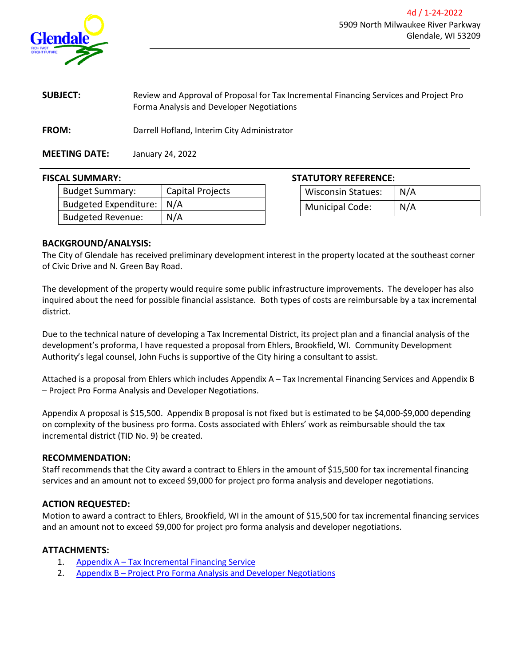<span id="page-7-0"></span>

| <b>SUBJECT:</b> | Review and Approval of Proposal for Tax Incremental Financing Services and Project Pro |
|-----------------|----------------------------------------------------------------------------------------|
|                 | Forma Analysis and Developer Negotiations                                              |

**FROM:** Darrell Hofland, Interim City Administrator

**MEETING DATE:** January 24, 2022

| <b>Budget Summary:</b>      | Capital Projects |
|-----------------------------|------------------|
| Budgeted Expenditure:   N/A |                  |
| <b>Budgeted Revenue:</b>    | N/A              |

# **FISCAL SUMMARY: STATUTORY REFERENCE:**

| <b>Wisconsin Statues:</b> | N/A |
|---------------------------|-----|
| Municipal Code:           | N/A |

### **BACKGROUND/ANALYSIS:**

The City of Glendale has received preliminary development interest in the property located at the southeast corner of Civic Drive and N. Green Bay Road.

The development of the property would require some public infrastructure improvements. The developer has also inquired about the need for possible financial assistance. Both types of costs are reimbursable by a tax incremental district.

Due to the technical nature of developing a Tax Incremental District, its project plan and a financial analysis of the development's proforma, I have requested a proposal from Ehlers, Brookfield, WI. Community Development Authority's legal counsel, John Fuchs is supportive of the City hiring a consultant to assist.

Attached is a proposal from Ehlers which includes Appendix A – Tax Incremental Financing Services and Appendix B – Project Pro Forma Analysis and Developer Negotiations.

Appendix A proposal is \$15,500. Appendix B proposal is not fixed but is estimated to be \$4,000-\$9,000 depending on complexity of the business pro forma. Costs associated with Ehlers' work as reimbursable should the tax incremental district (TID No. 9) be created.

### **RECOMMENDATION:**

Staff recommends that the City award a contract to Ehlers in the amount of \$15,500 for tax incremental financing services and an amount not to exceed \$9,000 for project pro forma analysis and developer negotiations.

### **ACTION REQUESTED:**

Motion to award a contract to Ehlers, Brookfield, WI in the amount of \$15,500 for tax incremental financing services and an amount not to exceed \$9,000 for project pro forma analysis and developer negotiations.

### **ATTACHMENTS:**

- 1. [Appendix A Tax Incremental Financing Service](https://www.glendale-wi.org/DocumentCenter/View/2378/Attachment---Appendix-A-TID-Services)
- 2. [Appendix B Project Pro Forma Analysis and Developer Negotiations](https://www.glendale-wi.org/DocumentCenter/View/2379/Attachment---Appendix-B-TID-Proforma-Review)